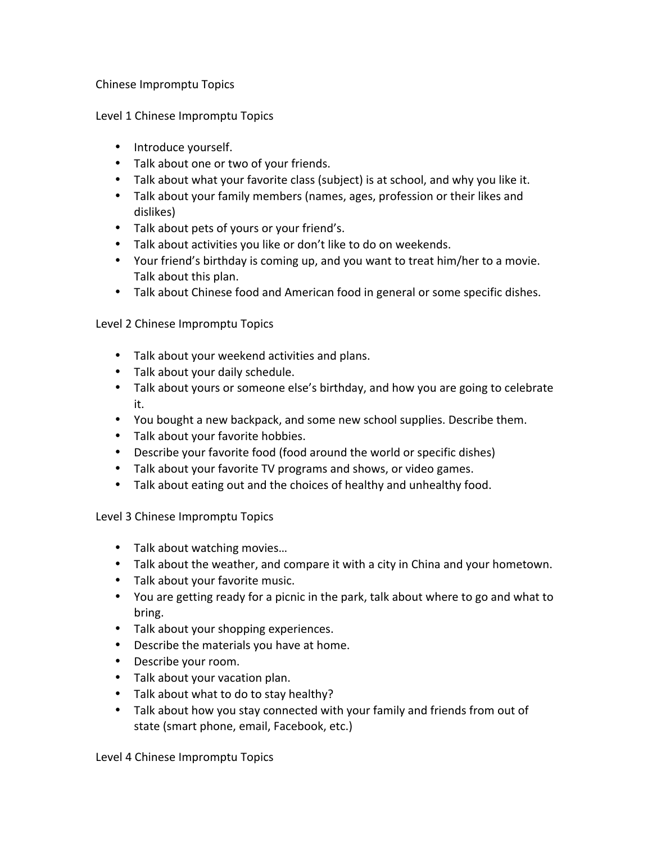## Chinese Impromptu Topics

Level 1 Chinese Impromptu Topics

- Introduce yourself.
- Talk about one or two of your friends.
- Talk about what your favorite class (subject) is at school, and why you like it.
- Talk about your family members (names, ages, profession or their likes and dislikes)
- Talk about pets of yours or your friend's.
- Talk about activities you like or don't like to do on weekends.
- Your friend's birthday is coming up, and you want to treat him/her to a movie. Talk about this plan.
- Talk about Chinese food and American food in general or some specific dishes.

Level 2 Chinese Impromptu Topics

- Talk about your weekend activities and plans.
- Talk about your daily schedule.
- Talk about yours or someone else's birthday, and how you are going to celebrate it.
- You bought a new backpack, and some new school supplies. Describe them.
- Talk about your favorite hobbies.
- Describe your favorite food (food around the world or specific dishes)
- Talk about your favorite TV programs and shows, or video games.
- Talk about eating out and the choices of healthy and unhealthy food.

Level 3 Chinese Impromptu Topics

- Talk about watching movies...
- Talk about the weather, and compare it with a city in China and your hometown.
- Talk about your favorite music.
- You are getting ready for a picnic in the park, talk about where to go and what to bring.
- Talk about your shopping experiences.
- Describe the materials you have at home.
- Describe your room.
- Talk about your vacation plan.
- Talk about what to do to stay healthy?
- Talk about how you stay connected with your family and friends from out of state (smart phone, email, Facebook, etc.)

Level 4 Chinese Impromptu Topics